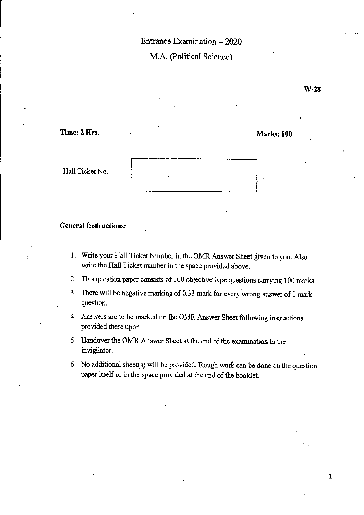## Entrance Examination  $-2020$

## M.A. (political Science)

W-28

### Time: 2Hrs.

Hall Ticket No.

Marks: 100



### **General Instructions:**

- 1. Write your Hall Ticket Number in the OMR Answer Sheet given to you. Also **write the Hall Ticket number in the space provided above.**
- **2. This question paper consists of 100 objective type questions carrying 100 marks.**
- **3. There will be negative marking** of 0.33 **mark for every wrong answer of 1 mark question.**
- **4, Answers are to be marked on the OMR Answer Sheet following instructions**  provided there upon.
- 5. Handover the OMRAnswer Sheet at the end of the examination to the **invigilator.**
- 6. No additional sheet(s) will be provided. Rough work can be done on the question **paper itself or in the space provided at the end of the booklet.**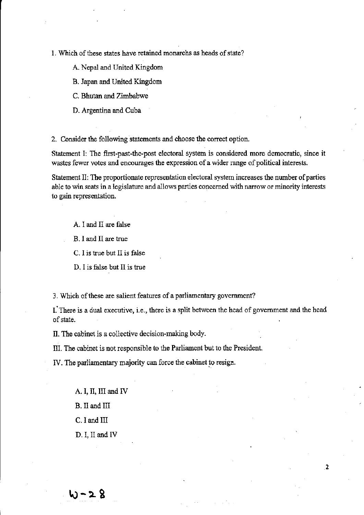- **1. Which** of these **states have retained monarchs as heads** of state?
	- A. Nepal and United Kingdom
	- B. Japan and United Kingdom
	- C. Bhutan and Zimbabwe
	- D. Argentina and Cuba

**2. Consider the following statements and choose the correct option.** 

**Statement I: The first-past-the-post electoral system is considered more democratic, since it wastes fewer votes and encourages the expression of a wider range of political interests.** 

**Statement II: The proportionate representation electoral system increases the number of parties able to win seats in a legislature and allows parties concerned with narrow or minority interests to gain representation.** 

A. I and II are false

B. I and II are true

C. I is true but  $\Pi$  is false

D. I is false but II is true

3. Which of these are salient features of a parliamentary government?

**(There is a dual executive, i.e., there is a split between the head of government and the head**  of state.

2

**II. The cabinet is a collective decision-making body.** 

**III. The cabinet is not responsible to the Parliament but to the President.** 

IV. The parliamentary majority can force the cabinet to resign.

A. I, II, III and IV

B. II and III

C. I and III

い-28

D. I, II and IV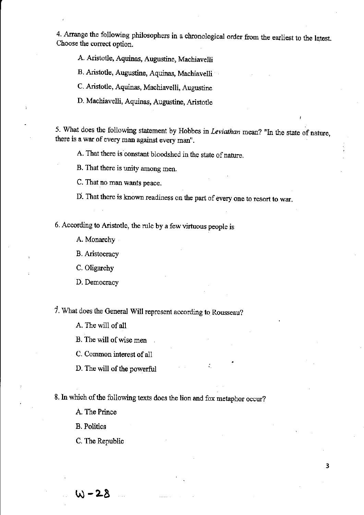4. Arrange the following philosophers in a chronological order from the earliest to the latest. **Choose the correct option.** 

A. Aristotle, Aquinas, Augustine, Machiavelli

B. Aristotle, Augustine, Aquinas, Machiavelli

C. Aristotle, Aquinas, Machiavelli, Augustine

D. Machiavelli, Aquinas, Augustine, Aristotle

**5. What does the following statement by Hobbes in** *Leviathan* **mean? "In the state of nature, there is a war of every man against every man".** 

**A. That there is constant bloodshed in the state of nature.** 

**B. That there is unity among men.** 

**C. That no man wants peace.** 

**D. That there is known readiness on the part of every one to resort to war.** 

**6. According to Aristotle, the rule by a few virtuous people is** 

A. Monarchy

**B. Aristocracy** 

C. Oligarchy

**D. Democracy** 

**1. What does the General Will represent according to Rousseau?** 

A. The will of all

**B. The will** of wise **men** 

**C. Common interest of all** 

D. The will of the powerful

8.ln which of the following texts does the lion and fox metaphor occur?

3

A. The Prince

B. Politics

C. The Republic

 $(u) - 28$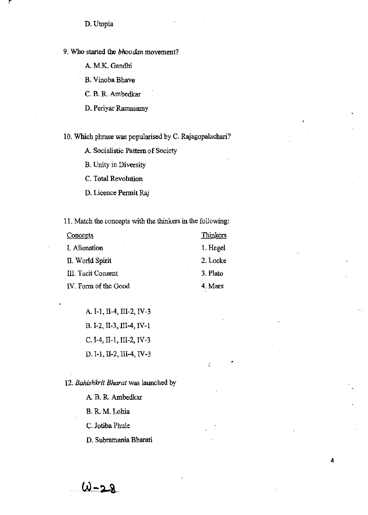D. Utopia

r

9. Who started the *blwodan* movement?

A. M.K. Gandhi

B. Vinoba Bhave

C. B. R. Ambedkar

D. Periyar Ramasamy

10. Which phrase was popularised by C. Rajagopalachari?

A. Socialistic Pattern of Society

B. Unity in Diversity

C. Total Revolution

**D. Licence Pennit Raj** 

II. Match the concepts with the thinkers in the following:

| Concepts             | Thinkers |
|----------------------|----------|
| I. Alienation        | 1. Hegel |
| II. World Spirit     | 2. Locke |
| III. Tacit Consent   | 3. Plato |
| IV. Form of the Good | 4. Marx  |

•

4

A. I-1, II-4, III-2, IV-3 B. I-2, II-3, III-4, IV-1 C. 1-4, II-I, I11-2, IV-3 D. I-I, II-2, JII-4, IV-3

*12. Bahishkrit Bharat* was launched by

A. B. R. Ambedkar

B. R. M. Lobia

C. Jotiba Phule

 $W - 28$ 

D. Subramania Bharati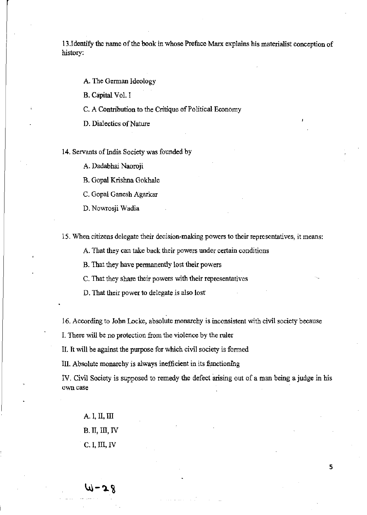13.Identify the name of the book in whose Preface Marx explains his materialist conception of history:

A. The German Ideology

B. Capital Vol. I

C. A Contribution to the Critique of Political Economy

D. Dialectics of Nature

14. Servants of India Society was founded by

A. Dadabhai Naoroji

B. Gopal Krishna Gokhale

C. Gopal Ganesh Agarkar

**D. Novvrosji Wadia** 

**15. When citizens delegate their decision-making powers to their representatives, it means:** 

**A. That they can take back their powers under certain conditions** 

**B. That they have permanently lost their powers** 

**C. That they share their powers with their representatives** 

**D. That their power to delegate is also lost** 

**16. According to John Locke, absolute monarchy is inconsistent with civil society because** 

**L There will be no protection from the violence by the ruler** 

II. It will be against the purpose for which civil society is formed

III. Absolute monarchy is always inefficient in its functioning

**IV. Civil Society is supposed to remedy the defect arising out of a man being a judge in his**  own case

A. I, II, III  $B$ . II, III, IV C. I, III, N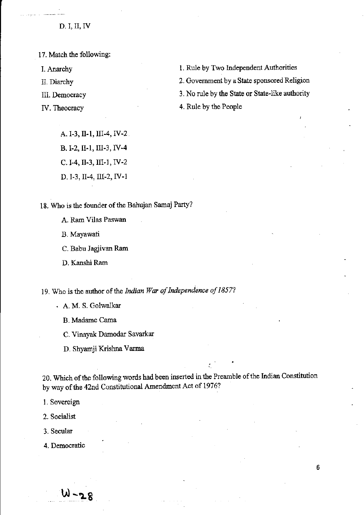D. I, II, IV

17. Match the following:

I. Anarchy

II. Diarchy

III. Democracy

**IV. Theocracy** 

- 1. Rule by Two Independent Authorities
- **2. Government by a State sponsored Religion**
- 3. No rule by the State or State-like authority
- 4. Rule by the People

A. 1-3, II-I, III-4, IV-2 B. 1-2, II-I, III-3, IV-4 C. 1-4, 11-3, III-I, IV-2 D. 1-3, 11-4, III-2, IV-I

18. Who is the founder of the Bahujan Samaj Party?

A. Ram Vilas Paswan

B. Mayawati

C. Babu Jagjivan Ram

D. Kanshi Ram

19. Who is the author of the *Indian War of Independence of I857?* 

- A. M. S. Golwalkar
	- B. Madame Cama
	- C. Vinayak Damodar Savarkar
	- D. Shyamji Krishna Varma

20. Which of the following words had been inserted in the Preamble of the Indian Constitution by way of the 42nd Constitutional Amendment Act of 1976?

1. Sovereign

2. Socialist

3. Secular

**4. Democratic**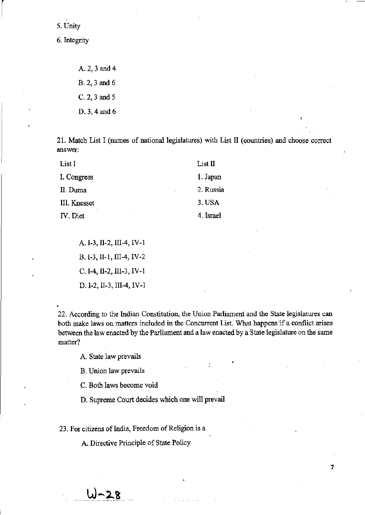5. Unity

6. Integrity

A.2,3and4 B. 2, 3 and 6 C. 2, 3 and 5 D. 3, 4 and 6

21. Match List I (names of national legislatures) with List II (countries) and choose correct **answer:** 

| List I       | List II   |
|--------------|-----------|
| I. Congress  | 1. Japan  |
| II. Duma     | 2. Russia |
| III. Knesset | 3. USA    |
| IV. Diet     | 4. Israel |

A. 1-3, II-2, IlI-4, N-l B. 1-3, II-I, IlI-4, IV-2 C. 1-4, II-2, IlI-3, N-I D. I-2, II-3, III-4, IV-1

22. According to the Indian Constitution, the Union Parliament and the State legislatures can **both make laws on matters included in the Concurrent List. What happens 'if a conflict arises**  between the law enacted by the Parliament and a law enacted by a State legislature on the same **matter?** 

•

7

A. State law prevails

**B. Union law prevails** 

 $W - 28$ 

C. Both laws become void

D. Supreme Court decides which one will prevail

23. For citizens of India, Freedom of Religion is a

A. Directive Principle of State Policy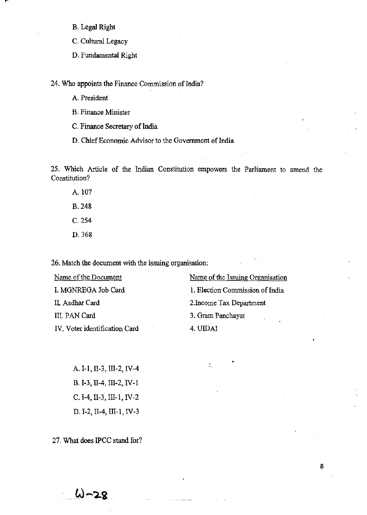B. Legal Right

C. Cultural Legacy

D. Fundamental Right

**24. Who appoints the Finance Commission** of India?

A. President

**B. Finance Minister** 

C. Finance Secretary of India

D. Chief Economic Advisor to the Government of India

**25. Which Article of the Indian Constitution empowers the Parliament to amend the Constitution?** 

A. 107 B.248 C.2S4 D.368

**26. Match the document with the issuing organisation:** 

| Name of the Document          | Name of the Issuing Organisation |
|-------------------------------|----------------------------------|
| I. MGNREGA Job Card           | 1. Election Commission of India  |
| IL Aadhar Card                | 2. Income Tax Department         |
| III. PAN Card                 | 3. Gram Panchayat                |
| IV. Voter identification Card | 4. UIDAI                         |

•

8

A. I-I, 11-3, Ill-2, *N-4*  B. 1-3,11-4, Ill-2, N-I C. 1-4, 11-3, Ill-I, *N-2*  D. 1-2, 11-4, Ill-I, *N-3* 

27. What does !PCC stand for?

 $6 - 28$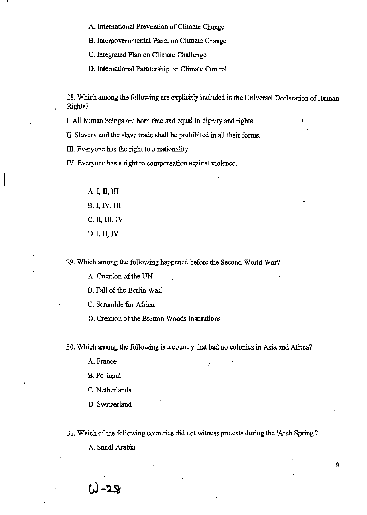A. International Prevention of Climate Change

B. Intergovernmental Panel on Climate Change

C. Integrated Plan on Climate Challenge

D. International Parlnership on Climate Control

28. Which among the following are explicitly included in the Universal Declaration of Human Rights?

I. All human beings are born free and equal in dignity and rights.

n. Slavery and the slave trade shall be prohibited in all their forms.

III. Everyone has the right to a nationality.

**IV. Everyone has a right to compensation against violence.** 

A. I, **II,** III B. I, IV, III C. **II,** III, IV D. I, II, IV

l.

29. Which among the following happened before the Second World War?

**A. Creation** of the **UN** 

B. Fall of the Berlin Wall

C. Scramble for Africa

**D. Creation** of the **Bretton Woods Institutions** 

30. Which aroong the following is a country that had no colonies in Asia and Africa?

A. France

B. Portogal

C. Netherlands

D. Switzerland

31. Which of the following countries did not witness protests during the 'Arab Spring'?

A. Saudi Arabia

(ገ -57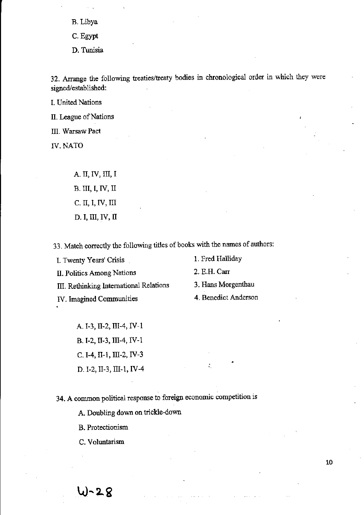B. Libya

C. Egypt

**D. Tunisia** 

32. Arrange the following treaties/treaty bodies in chronological order in which they were signed/established:

1. United Nations

IT. Leagne of Nations

III. Warsaw Pact

IV. NATO

A. II, IV, III, I B. III, I, IV, IT  $C.$  II,  $I, IV, III$ D. I, III, IV, IT

33. Match correctly the following titles of books with the names of authors:

**1. Twenty Years' Crisis**  II. Politics Among Nations Ill. Rethinking International Relations IV. Imagined Connnunities 1. Fred Halliday 2. E.H. Carr

> A. 1-3, 11-2, III-4, IV-I B. 1-2, 11-3, III-4, IV-I C. 1-4, II-I, III-2, IV-3 D. 1-2, 11-3, III-I, IV-4

**34. A common political response to foreign economic competition is** 

A. Doubling down on trickle-down

**B. Protectionism** 

C. Voluntarism

3. **Hans Morgenthau** 

**4. Benedict Anderson** 

•

÷.

W-28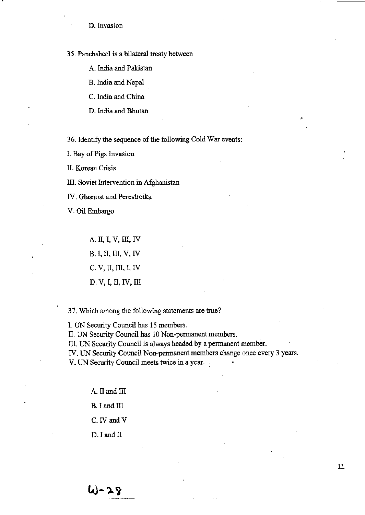**D. Invasion** 

35. Panchsheel is a bilateral treaty between

A. India and Pakistan

B. India and Nepal

C. India and China

D. India and Bhutan

36. Identify the sequence of the following Cold War events:

**I. Bay** of Pigs **Invasion** 

**II. Korean Crisis** 

III. Soviet Intervention in Afghanistan

IV. Glasnost and Perestroika

V. Oil Embargo

A. **II, I,** V, III, N B. **I, II,** III, V, N C. V, II, III, **I,** N D. V, **I, II,** N, III

**37. Which among the following statements are true?** 

I. UN Security Council has 15 members,

II. UN Security Council has 10 Non-permanent members.

III. UN Security Council is always headad by a permanent member.

*N.* UN Security Council Non-permanent members change once every 3 years.

V. UN Security Council meets twice in a year.

A. II and III

B. I and III

C. IV and V

D. I and II

41-28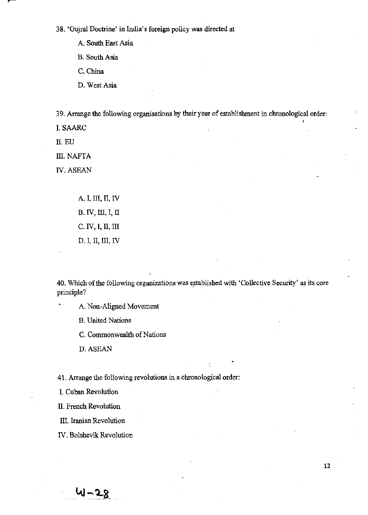38. 'Gujral Doctrine' in India's foreign policy was directed at

A. South East Asia

B. South Asia

C.China

**D.** West Asia

39. Arrange the following organisations by their year of establishment in ohronological order:

I. SAARC

II. EU

III. NAFTA

IV. ASEAN

A. I, III, II, IV B. IV, III, I, II C. N, I, II, III D. I, II, III, N

**40. Which** of the **following organizations was established with 'Collective Security' as its core principle?** 

12

**A. Non-Aligned Movement** 

B. United Nations

C. Commonwealth of Nations

D.ASEAN

41. Arrange the following revolutions in a chronological order:

I. Cuban Revolution

II. French Revolution

III. Iranian Revolution

N. Bolshevik Revolution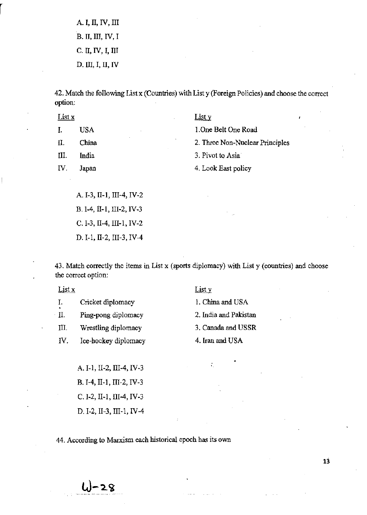A. I, II, IV, III B. II, III, IV, I C. II, IV, I, III D. III, I, II, IV

42. Match the following List x (Countries) with List y (Foreign Policies) and choose the ccrrect **option:** 

| List x |            | List y                          |  |
|--------|------------|---------------------------------|--|
| I.     | <b>USA</b> | 1.One Belt One Road             |  |
| II.    | China      | 2. Three Non-Nuclear Principles |  |
| III.   | India      | 3. Pivot to Asia                |  |
| IV.    | Japan      | 4. Look East policy             |  |

A. 1-3, II-I, 111-4, 1V-2 B.I-4, II-I, 111-2, IV-3 C. 1-3, 11-4, III-I, IV-2 D. I-I, 11-2, 111-3, IV-4

43. Match correctly the items in List x (sports diplomacy) with List y (countries) and choose **the correct option:** 

List y

•

÷.

List x

| I.<br>$\bullet$ | Cricket diplomacy    | 1. China and USA      |
|-----------------|----------------------|-----------------------|
| Н.              | Ping-pong diplomacy  | 2. India and Pakistan |
| Ш.              | Wrestling diplomacy  | 3. Canada and USSR    |
| IV.             | Ice-hockey diplomacy | 4. Iran and USA       |
|                 |                      |                       |

A. I-I, 11-2, 111-4, 1V-3 B.I-4, II-I, 111-2, 1V-3 C.1-2, II-I, 111-4, IV-3 D. 1-2, 11-3, III-I, 1V-4

44. According to Marxism each historical epoch has its own

 $U - 28$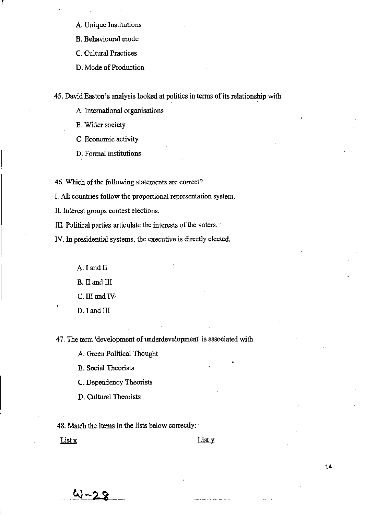**A. Unique Institutions** 

B. Behavioural mode

C. Cultural Practices

D. Mode of Production

45. David Easton's analysis looked at politics in terms of its relationship with

**A. International organisations** 

B. Wider society

C. Economic activity

D. Formal institutions

**46. Which** of the **following statements are correct?** 

**I. All countries follow the proportional representation system.** 

**II. Interest groups contest elections.** 

III. Political parties articulate the interests of the voters.

**IV. In presidential systems, the executive is directly elected.** 

A. I and II

B. II and III

C. III and IV

D.l and III

**47. The term 'development** of underdevelopment' **is associated with** 

A. Green Political Thought

B. Social Theorists

C. Dependency Theorists

D. Cultural Theorists

48. Match the items in the lists below correctly:

List x

List y

•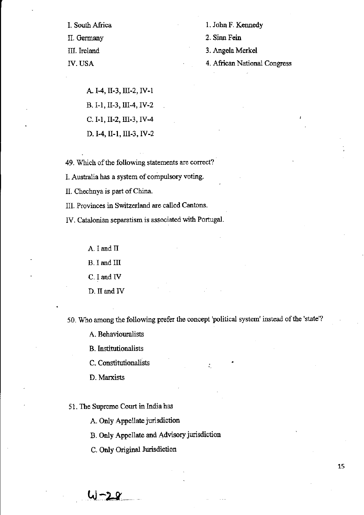I. South Africa II. Germany ill. Ireland

I. John F. Kennedy

2. Sinn Fein

3. Angela Merkel

IV. USA 4. African National Congress

A. 1-4, II-3, III-2, N-I B. I-I, II-3, III-4, *N-2*  C. I-I, II-2, III-3, *N-4*  D. 1-4, II-I, 1II-3, *N-2* 

49. Which of the following statements are correct?

**1. Australia has a system of compulsory voting.** 

II. Chechnya is part of China.

**III. Provinces in Switzerland are called Cantons.** 

**IV. Catalonian separatism is associated with Portugal.** 

A. I and II

B. I and III

C. I and IV

D. II and  $IV$ 

**50. Who among the following prefer the concept 'political system' instead** of the **'state'?** 

•

15

**A. Behaviouralists** 

**B. Institutionalists** 

c. Constitutionalists

D. Marxists

 $4 - 28$ 

51. The Supreme Court in India has

A. Only Appellate jurisdiction

B. Only Appellate and Advisory jurisdiction

C. Only Original Jurisdiction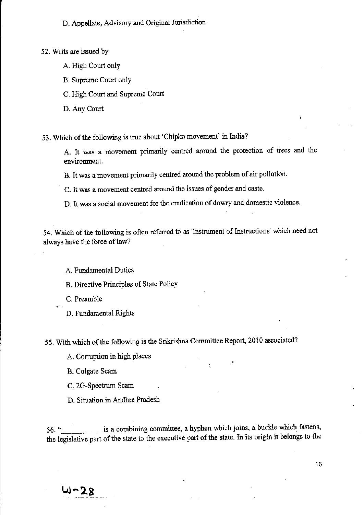D. Appellate. Advisory and Original Jurisdiction

52. Writs are issued by

- A. Higb Court only
- B. Supreme Court only
- C. Higb Court and Supreme Court
- D. Any Court

53. Wbich of the following is true about 'Chipko movement' in India?

**A. It was a movement primarily centred around the protection of trees and the environment.** 

**B. It was a movement primarily centred around the problem of air pollution.** 

**C. It was a movement centred around the issues of gender and caste.** 

**D. It was a social movement for the eradication of dowry and domestic violence.** 

**54. Which of the following is often referred to as 'Instrument of Instructions' which need not always have the force of law?** 

A. Fundamental Duties

B. Directive Principles of State Policy

C. Preamble

D. Fundamental Rights

55. With which of the following is the Srikrishna Committee Report, 2010 associated?

A. Corruption in higb places

B. Colgate Scam

C. 2G-Spectnun Scam

D. Situation in Andhra Pradesh

56. " **is a combining committee, a hyphen which joins, a buckle which fastens,** the legislative part of the state to the executive part of the state. In its origin it belongs to the

•

# lu-28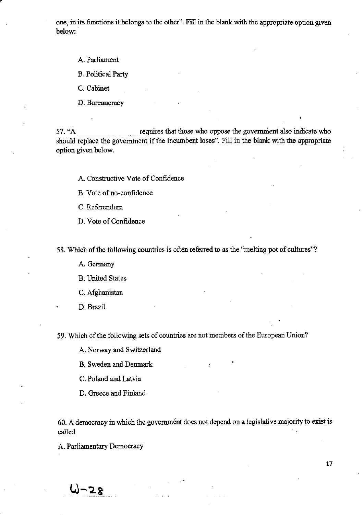**one, in its functions it belongs to the other". Fill in the blank: with the appropriate option given below:** 

A. Parliament

B. Political Party

C. Cabinet

D. **Bureaucracy** 

**57. "A requires that those who oppose the government also indicate who**  should replace the government if the incumbent loses". Fill in the blank with the appropriate **option given below.** 

A. Constructive Vote of Confidence

**B. Vote** of no-confidence

**C. Referendum** 

D. Vote of Confidence

58. Which of the following countries is often referred to as the "melting pot of cultures"?

**A. Germany** 

B. United States

C. Afghanistan

D. Brazil

**59. Which** of the **following sets of countries are not members** of the **European Union?** 

A. Norway and Switzerland

B. Sweden and Denmark •

C. Poland and Latvia

D. Greece and Finland

60. A democracy in which the government does not depend on a legislative majority to exist is called

**A. Parliamentary Democracy** 

## W-28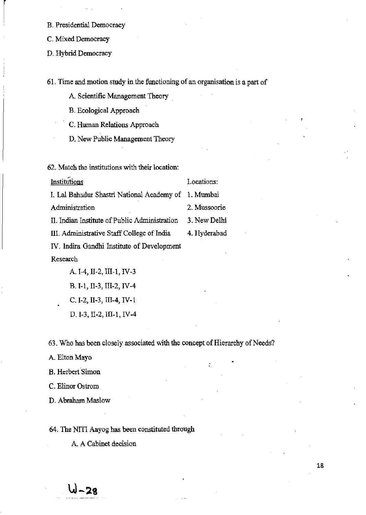**B. Presidential Democracy** 

C. Mixed Democracy

D. Hybrid Democracy

**61. Time and motion study in the functioning of an organisation is a part of** 

A. Scientific Management Theory

B. Ecological Approach

C. Human Relations Approach

D. New Public Management Theory

62. Match the institutions with their location:

| Institutions                                               | Locations:   |
|------------------------------------------------------------|--------------|
| I. Lal Bahadur Shastri National Academy of 1. Mumbai       |              |
| Administration                                             | 2. Mussoorie |
| II. Indian Institute of Public Administration 3. New Delhi |              |
|                                                            |              |

III. Administrative Staff College of India 4. Hyderabad

N. Indira Gandhi Institute of Development

**Research** 

A 1-4, 11-2, llI-l, *N-3*  B. I-I, 11-3, 1lI-2, *N-4*  C. 1-2, 11-3, 1lI-4, *N-!*  D. 1-3, 11-2, llI-l, *N-4* 

63. Who has been closely associated with the concept of Hierarchy of Needs?

•

A. Elton Mayo

B. Herbert'Simon

C. Elinor Ostrom

D. Abraham Maslow

J-28

64. The NIT! Aayog has been constituted through

A. **A Cabinet decision**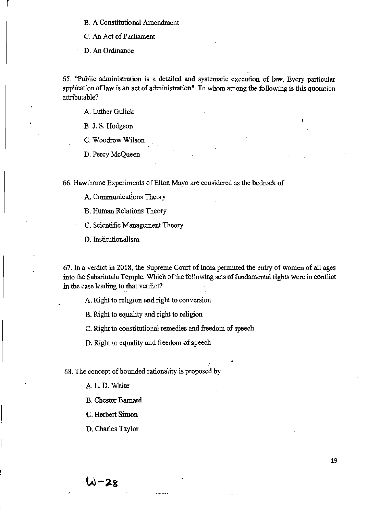B. A Constitutional Amendment

C. An Act of Parliament

D. An Ordinance

**65. "Public administration is a detailed and systematic execution of law. Every particular applicationoflaw is an act of administration!!, To whom among the following is this quotation**  attributable?

A. Luther Gulick

B. J. S. Hodgson

C. Woodrow Wilson

D. Percy McQueen

66. Hawthorne Experiments of Elton Mayo are considered as the bedrock of

**A. Communications Theory** 

B. Human Relations Theory

C. Scientific Management Theory

**D. Institutionalism** 

67. In a verdict in 2018, the Supreme Court of India pennitted the entry of women of all ages into the Sabarimala Temple. Which of the following sets of fundamental rights were in conflict **in the case leading to that verdict?** 

•

**A, Right to religion and right to conversion** 

B. Right to eqnality and right to religion

C. Right to constitutional remedies and freedom of speech

D. Right to equality and freedom of speech

68. The concept of bounded rationality is proposed by

A. L. D. White

B. Chester Barnard

. C. Herbert Simon

D. Charles Taylor

 $W-28$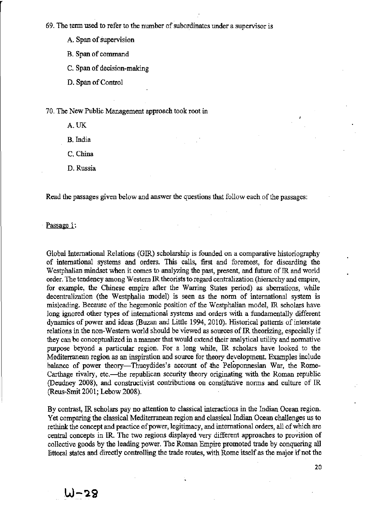**69. The term used to refer to the number of subordinates under a supervisor is** 

- **A. Span of supervision**
- B. Span of command
- C. Span of decision-making
- D. Span of Control

70. The New Public Management approach took root in

A. UK

B. India

- C. China
- **D. Russia**

**Read the passages given below and answer the questions that follow each of the passages:** 

### Passage 1:

Global International Relations (GIR) scholarship is founded on a comparative historiography **of international systems and orders. This calls, first and foremost, for discarding the**  Westphalian mindset when it comes to analyzing the past, present, and future of IR and world **order. The tendency among Western IR theorists to regard centralization (hierarchy and empire,**  for example, the Cbinese empire after the Warring States period) as aberrations, while **decentralization (the Westphalia model) is seen as the norm of international system is misleading. Because of the hegemonic position of the Westphalian model, IR scholars have**  long ignored other types of international systems and orders with a fundamentally different dynamics of power and ideas (Buzan and Little 1994,2010). Historical patterns of interstate relations in the non-Western world should be viewed as sources of IR theorizing, especially if **they can be conceptualized in a manner that would extend their analytical utility and normative**  purpose beyond a particular region. For a long while, IR scholars have looked to the **Mediterranean region as an inspiration and source for theory development. Examples include**  balance of power theory—Thucydides's account of the Peloponnesian War, the Rome-Carthage rivalry, etc.---the republican security theory originating with the Roman republic (Deudney 2008), aud constructivist contributions on constitutive norms and culture of IR (Reus-Smit 2001; Lebow 2008).

By contrast, IR scholars pay no attention to classical interactions in the Indian Ocean region. Yet comparing the classical Mediterranean region and classical Indian Ocean challenges us to rethink the concept and practice of power, legitimacy, and international orders, all of which are central concepts in IR. The two regions displayed very different approaches to provision of collective goods by the leading power. The Roman Empire promoted trade by conquering all littoral states and directly controlling the trade routes, with Rome itself as the major if not the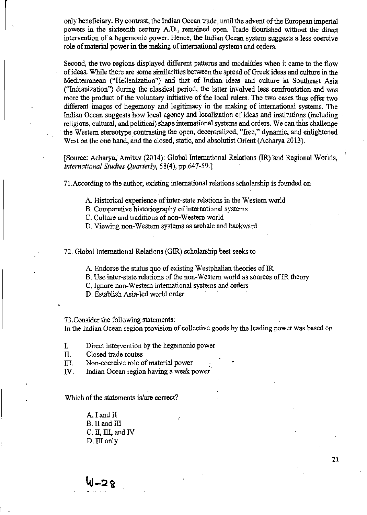only beneficiary. By contrast, the Indian Ocean trade, until the advent of the European imperial **powers in the sixteenth century A.D., remained open. Trade flourished without the direct intervention of a hegemonic power. Hence, the Indian Ocean system suggests a less coercive role of material power in the making of international systems and orders.** 

Second, the two regions displayed different patterns and modalities when it came to the flow **of ideas. While there are some similarities between the spread of Greek ideas and culture in the**  Mediternmean ("Hellenization") and that of Indian ideas and culture in Southeast Asia ("Indianization") during the classical period, the latter involved less confrontation and was more the product of the voluntary initiative of the local rulers. The two cases thus offer two different images of hegemony and legitimacy in the making of international systems. The Indian Ocean suggests how local agency and localization of ideas and institutions (including religious, cultural, and political) shape international systems and orders. We can thus challenge the Western stereotype contrasting the open, decentralized, "free," dynamic, and enlightened West on the one hand, and the closed, static, and absolutist Orient (Acharya 2013).

[Source: Acharya, Amitav (2014): Global International Relations (IR) and Regional Worlds, *International Studies Quarterly,* 58(4), pp.647-59.]

**71.According to the author, existing international relations scholarship is founded on** 

**A. Historical experience** of inter-state **relations in the Western world** 

B. Comparative historiography of international systems

C. Culture and traditions of non-Western world

**D. Viewing non-Western systems as archaic and backward** 

72. Global International Relations (GIR) scholarship best seeks to

A. Endorse the status quo of existing Westphalian theories of IR

**B. Use inter-state relations** of the **non-Western world as sources ofIR theory** 

**C. Ignore non-Western international systems and orders** 

D. Establish Asia-led world order

73.Consider the following statements:

**In the Indian Ocean region 'provision of collective goods by the leading power Was based on** 

**1. Direct intervention by the hegemonic power** 

II. Closed trade routes

**III.** Non-coercive role of material power

*N.* **Indian Ocean region having a weak power'** 

Which of the statements is/are correct?

A. I and II B. II and III C. II, III, and IV D. III only

 $4 - 28$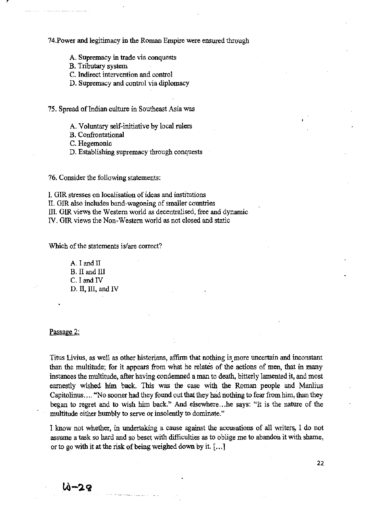74.Power and legitimacy in the Roman Empire were ensured through

**A. Supremacy in trade via conquests** 

B. Tributary system

**C. Indirect intervention and control** 

D. Supremacy and control via diplomacy

75. Spread of Indian culture in Southeast Asia was

A. Voluntary self-initiative by local rulers

B. Confrontational

**C. Hegemonic** 

D. Establishing supremacy through conquests

**76. Consider the following statements:** 

**I. GIR stresses on localisation** of ideas **and institutions**  ll. GIR also includes band-wagoning of smaller countries III. GIR views the Western world as decentralised, free and dynamic *N.* **GIR views the Non-Western world as not closed and static** 

**Which** of the **statements is/are correct?** 

A. I and II B. II and III C. I and IV D. II, III, and IV

Passage 2:

Titus Livius, as well as other historians, affirm that nothing is more uncertain and inconstant than the multitude; for it appears from what he relates of the actions of men, that in many instances the multitude, after having condemned a man to death, bitterly lamented it, and most earnestly wished him back. This was the case with the Roman people and Manlius Capitolinus .... "No sooner had they found out that they had nothing to fear from him, than they began to regret and to wish him back." And elsewhere ... he says: "It is the nature of the multitude either humbly to serve or insolently to dominate."

I know not whether, in undertaking a cause against the accusations of all writers, I do not assume a task so hard and so beset with difficulties as to oblige me to abandon it with shame, or to go with it at the risk of being weighed down by it. [ ... J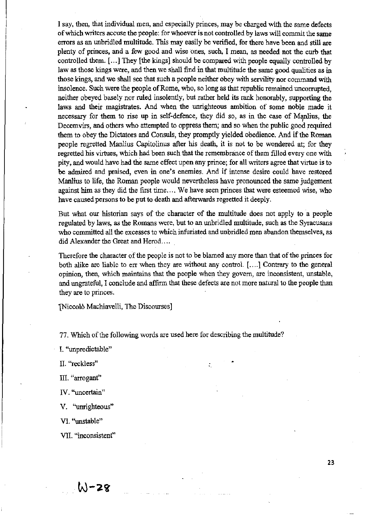**I say, then, that individual men, and especially princes, may be charged with the same defects**  of which **writers accuse the people: for whoever is not controlled by laws will commit the same errors as an unbridled multitude. This may easily be verified, for there have been and still are plenty of princes, and a few good and wise ones, such, I mean, as needed not the curb that**  controlled them. [...] They [the kings] should be compared with people equally controlled by law as those kings were. and then we shall find in that multitude the same good qualities as in **those kings, and we shall see that such a people neither obey with servility nor command with**  insolence. Such were the people of Rome, who, so long as that republic remained uncorrupted. neither obeyed basely nor ruled insolently, but rather held its rank honorably, supporting the **laws and their magistrates. And when the unrighteous ambition of some noble made it**  necessary for them to rise up in self-defence, they did so, as in the case of Manlius, the Decemvirs, and others who attempted to oppress them; and so when the public good requlred them to obey the Dictators and Consuls, they promptly yielded obedience. And if the Roman people regretted Manlius Capitolinus after his death, it is not to be wondered at; for they regretted his virtues, which had been such that the remembrance of them filled every one with pity, and would have had the same effect upon any prince; for all writers agree that virtue is to **be admired and praised, even in one's enemies. And if intense desire could have restored Manlius to life, the Roman people would nevertheless have pronounced the same judgement against him as they did the first time .... We have seen princes that were esteemed wise, who**  have caused persons to be put to death and afterwards regretted it deeply.

**But what our historian says of the character of the multitude does not apply to a people regulated by laws, as the Romans were, but to an unbridled multitude, such as the Syracusans who committed all the excesses to which infuriated and unbridled men abandon themselves, as**  did Alexander the Great and Herod....

Therefore the character of the people is not to be blamed any more than that of the princes for both alike are liable to err when they are without any control. [....] Contrary to the general **opinion, then, which maintains that the people when they govern, are inconsistent, unstable, and ungrateful, I conclude and affIrm that these defects are not more natural to the people than they are to princes.** 

•

**lNiccolo Machiavelli, The Discourses]** 

77. Which of the following words are used here for describing the multitude?

1. ''unpredictable''

**II. "reckless"** 

**III. "arroganf'** 

IV. **"uncertain"** 

V. "unrighteous"

**VI. "unstable"** 

VII. "inconsistent"

 $M - 28$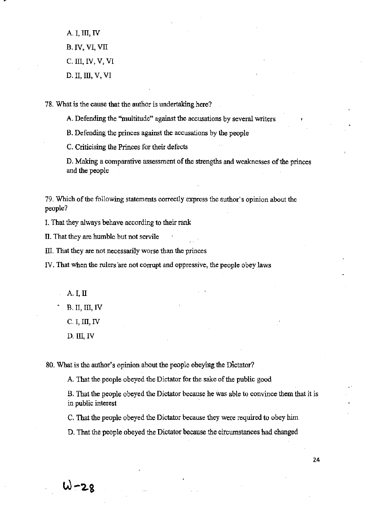A. I, III, IV B. IV, VI, VII C. III, IV, V, VI D. II, III, V, VI

78. What is the cause that the author is undertaking here?

**A. Defending the "multitude" against the accusations by several writers** 

B. Defending the princes against the accusations by the people

**C. Criticising the Princes for their defects** 

**D. Making a comparative assessment of the strengths and weaknesses of the princes**  and the people

**79. Which** of the **following statements correctly express the author's opinion about the**  people?

I. That they always behave according to their rank

II. That they are humble but not servile

**III. That they are not necessarily worse than the princes** 

**IV. That when the rulers'are not corrupt and oppressive, the people obey laws** 

A. I, II

B. II, III, IV

C. I, III, IV D. III, IV

80. What is the author's opinion about the people obeying the Dictator?

A. That the people obeyed the Dictator for the sake of the public good

B. That the people obeyed the Dictator because he Was able to convince them that it is **in public interest** 

C. That the people obeyed the Dictator because they were required to obey him

D. That the people obeyed the Dictator because the circumstances had changed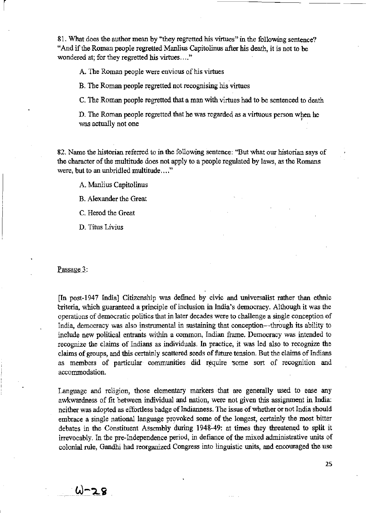81. What does the author mean by "they regretted his virtues" in the following sentence? "And if the Roman people regretted Manlius Capitolinus after his death, it is not to be **wondered at; for they regretted his virtues ......** 

<sup>r</sup>----

**A. The Roman people were envious afhis virtues** 

B. The Roman people regretted not recognising his virtues

C. The Roman people regretted that a man with virtues had to be sentenced to death

**D. The Roman people regretted that he was regarded as a virtuous person when he** , **was actually not one** 

**82. Name the historian referred to in the following sentence: ''But what our historian says of**  the character of the multitude does not apply to a people regulated by laws, as the Romans **were, but to an unbridled multitude .... "** 

A. Manlius Capitolinus

B. Alexander the Great

C. Herod the Great

**D. Titus Livius** 

#### **Passage 3:**

[In post-1947 India] Citizenship was defined by civic and universalist rather than ethnic **criteria, which guaranteed a principle of inclusion in India's democracy. Although it was the operations of democratic politics that in later decades were to challenge a single conception of**  India, democracy was also instrumental in sustaining that conception—through its ability to include new political entrants within a common, Indian frame. Democracy was intended to **recognize the claims of Indians as individuals. In practice, it was led also to recognize the**  claims of groups, and this certainly scattered seeds of future tension. But the claims of Indians as members of particular communities did require some sort of recognition and **accommodation.** 

**Language and religion, those elementary markers that are generally used to ease any awkwardness of fit between individual and nation, were not given this assignment in India:**  neither was adopted as effortless badge of Indianness. The issue of whether or not India should **embrace a single national language provoked some of the longest, certainly the most bitter**  debates in the Constituent Assembly during 1948-49: at times they threatened to split it **irrevocably. In the pre-Independence period, in defiance** of the **mixed administrative units of**  colonial rule, Gandhi had reorganized Congress into linguistic units, and encouraged the use

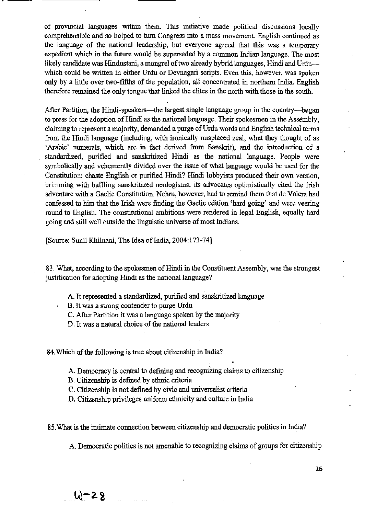**of provincial languages within them. This initiative made political discussions locally comprehensible and so helped to turn Congress into a mass movement. English continued as the language of the national leadership, but everyone agreed that this was a temporary**  expedient which in the future would be superseded by a common Indian language. The most likely candidate was Hindustani, a mongrel of two already hybrid languages, Hindi and Urdu--**which could be written in either Urdu or Devnagari scripts. Even this, however, was spoken**  only by a little over two-fifths of the population, all concentrated in northern India. English **therefore remained the only tongue ·that linked the elites in the north with those in the south.** 

After Partition, the Hindi-speakers—the largest single language group in the country---began to press for the adoption of Hindi as the national language. Their spokesmen in the Assembly, **claiming to represent a majority, demanded a purge** of Urdu **words and English technical tenns**  from the Hindi language (including, with ironically misplaced zeal, what they thought of as 'Arabic' numerals, which are in fact derived from Sanskrit), and the introduction of a standardized, purified and sanskritized Hindi as the national language. People were symbolically and vehemently divided over the issue of what language would be used for the Constitution: chaste English or putified Hindi? Hindi lobbyists produced their own version, brimming with baffling sanskritized neologisms: its advocates optimistically cited the Irish adventure with a Gaelic Constitution. Nehm, however, had to remind them that de Valera had **confessed to him that the Irish were finding the Gaelic edition 'hard going' and were veering**  round to English. The constitutional ambitions were rendered in legal English, equally hard **going and still well outside the linguistic universe of most Indians.** 

[Source: Sunil Khi1nani, The Idea of India, 2004:173-74J

83. What, according to the spokesmen of Hindi in the Constituent Assembly, was the strongest justification for adopting Hindi as the national language?

- A. It represented a standardized, purified and sanskritized language
- **B. It was a strong contender to purge Urdu**   $\mathbf{A}^{(1)}$ 
	- C. After Partition it was a language spoken by the majority
	- **D. It was a natural choice of the** national leaders

84.Which of the following is true about citizenship in India?

- **A. Democracy is central to defining and recognizing claims to citizenship**
- B. Citizenship is defined by ethnic criteria
- **c. Citizenship is not defined by civic and universalist criteria**
- D. Citizenship privileges uniform ethnicity and culture in India

85. What is the intimate connection between citizenship and democratic politics in India?

**A. Democratic politics is not amenable to recognizing claims of groups for citizenship** 

•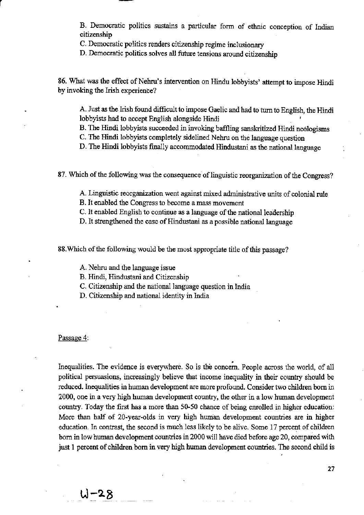**B. Democratic politics sustains a particular form of ethnic conception of Indian citizenship** 

**C. Democratic politics renders citizenship regime inclusionary** 

**D. Democratic politics solves all future tensions around citizenship** 

86. What was the effect of Nehru's intervention on Hindu lobbyists' attempt to impose Hindi by invoking the Irish experience?

A. Just as the Irish found difficult to impose Gaelic and had to tum to English, the Hindi lobbyists had to accept English alongside Hindi

B. The Hindi lobbyists succeeded in invoking baffling sanskritized Hindi neologisms

C. The Hindi lobbyists completely sidelined Nehru on the language question

D. The Hindi lobbyists finally accommodated Hindustani as the national language

**87. Which** of the **following was the consequence** of linguistic **reorganization** of the **Congress?** 

A. Linguistic reorganization went against mixed administrative units of colonial rule

B. **It enabled the Congress to become a mass movement** 

C. It enabled English to continue as a language of the national leadership

D. It strengthened the case of Hindustani as a possible national language

**88.Which** of the **following would be the most appropriate title** of this **passage?** 

A. Nehru and the language issue

B. Hindi, Hindustani and Citizenship

**C.** Citizenship and the national language question in India

D. Citizenship and national identity in India

### **Passage 4:**

W-28

r

• **Inequalities. The evidence is everywhere. So is the concern. People across the world, of all**  political persuasions, increasingly believe that income inequality in their country should be reduced. Inequalities in human development are more profound. Consider two children born in 2000, one in a very high human development country, the other in a low human development country. Today the first has a more than SO-SO chaoce of being enrolled in higher education: More than half of 20-year-olds in very high human development countries are in higher **education.** In contrast, the second is much less likely to be alive. Some 17 percent of children born in low human development countries in 2000 will have died before age 20, compared with just I percent of children born in very high human development countries. The second child is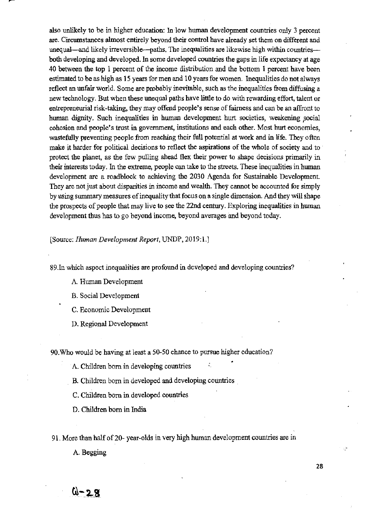**also unlikely to be in higher education: In low human development countries only 3 percent are. Circumstances almost entirely beyond their control have already set them on different and**  unequal—and likely irreversible—paths. The inequalities are likewise high within countries both developing and developed. In some developed countries the gaps in life expectancy at age **40 between the top 1 percent of the income distribution and the bottom 1 percent have been**  estimated to be as higb as 15 years for men and 10 years for women. Inequalities do not always **reflect an unfair world. Some are probably inevitable, such as the inequalities from diffusing a**  new technology. But when these unequal paths have little to do with rewarding effort, talent or **entrepreneurial risk-taking, they may offend people's sense** of fairness **and can be an affront to human dignity. Such inequalities in human development hurt societies, weakening ,social**  cohesion and people's trust in government, institutions and each other. Most hurt economies, wastefully preventing people from reaching their full potential at work and in life. They often **make it harder for political decisions to reflect the aspirations of the whole of society and to**  protect the planet, as the few pulling abead flex their power to shape decisions primarily in **their interests today. In the extreme, people can take to the streets. These inequalities in human**  development are a roadblock to achieving the 2030 Agenda for Sustainable Development. **They are not just about disparities in income and wealth. They cannot be accounted for simply by using summary measures of inequality that focus on a single dimension. And they will shape**  the prospects of people that may live to see the 22nd century. Exploring inequalities in human development thus has to go beyond income, beyond averages and beyond today.

[Source: *Human Development Report,* UNDP, 2019:1.]

**89.In which aspect inequalities are profound in developed and developing countries?** 

- A **Hwnan Development**
- **B. Social Development**
- **C. Economic Development**
- **D. Regional Development**

90.Who would be having at least a 50-50 chance to pursue higber education?

•

A. **Children born in developing countries** 

- B. Children born in developed and developing countries
- C. Children born in developed countries
- D. Children born in India
- 91. More than half of 20- year-olds in very high human development countries are in

A. Begging

 $0 - 28$ 

28

- 12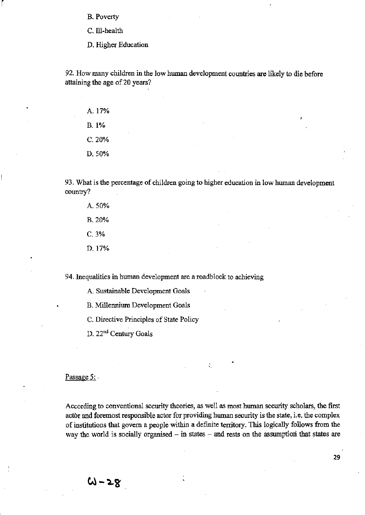B. Poverty

r

C. ill-health

D. Higher Education

92. How many children in the low human development countries are likely to die before attaining the age of 20 years?

A. 17% **B.l%**  C.20% D.50%

**93. What is the percentage of children going to higher education in low human development country?** 

A.50% B.20% **C.3%** 

D.17%

**94. Inequalities in human development are a roadblock to achieving** 

**A Sustainable Development Goals** 

B. Millennium Development Goals

**C. Directive Principles of State Policy** 

D. 22<sup>nd</sup> Century Goals

Passage 5:

**According to conventional security theories, as well as most human security scholars, the first actor and foremost responsible actor for providing human security is the state, i.e. the complex**  of institntions that govern a people within a definite territory. This logically follows from the **way the world is socially organised - in states - and rests on the assumption that states are** 

•

 $W - 28$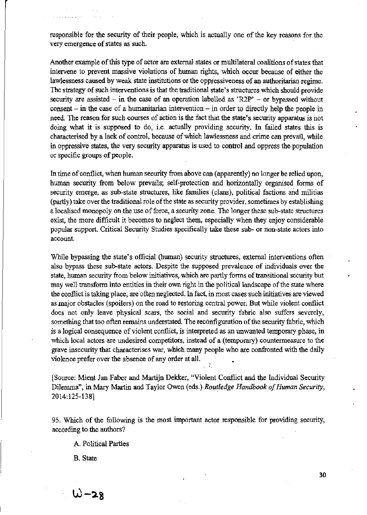**responsible for the security of their people, which is actually one of the key reasons for the very emergence of states as such.** 

Another example of this type of actor are external states or multilateral coalitions of states that **intervene to prevent massive violations of human rights, which occur because of either the lawlessness caused by weak state institutions or the oppressiveness of an authoritarian regime.**  The strategy of such interventions is that the traditional state's structures which should provide **security are assisted - in the case of an operation labelled as 'R2P' - or bypassed without consent - in the case of a humanitarian intervention - in order to directly help the people in need. The reason for such courses of action is the fact that the state's security apparatus is not**  doing what it is supposed to do, i.e. actually providing security. In failed states this is **characterised by a lack of control, because of which lawlessness and crime can prevail, while in oppressive states, the very security apparatus is used to control and oppress the population or specific groups of people.** 

**In time of conflict, when human security from above can (apparently) no longer be relied upon, human security from below prevails;** self~protection **and horizontally organised forms of security emerge, as sub-state structures, like families (clans), political factions and militias**  (partly) take over the traditional role of the state as security provider, sometimes by establishing **a localised monopoly on the use offorce, a security zone. The** longer these **sub-state structures exist, the more difficult it becomes to neglect them, especially when they enjoy considerable popular support. Critical Security Studies specifically take these** sub~ **or non-state actors into**  account.

**While bypassing the state's official (human) security structures, external interventions often also bypass these sub-state actors. Despite the supposed prevalence of individuals over the**  state, human security from below initiatives, which are partly forms of transitional security but **may well transfonn into entities in their own right in the** political landscape of the **state where**  the conflict is taking place, are often neglected. In fact, in most cases such initiatives are viewed **as major obstacles (spoilers) on the road to restoring central power. But while violent conflict does not only leave physical scars, the social and security fabric also suffers severely, something that too often remains understated. The reconfiguration of the security fabric, which is a logical consequence** of violent **conflict, is interpreted as an unwanted** temporary· phase, **in which local actors are undesired competitors, instead of a (temporary) countermeasure to the grave insecurity that characterises war, which many people who are confronted with the daily**  violence prefer over the absence of any order at all.

[Source: Mient Jau Faber and Martljn Dekker, "Violent Conflict aud the Individual Security Dilemma", in Mary Martin and Taylor Owen (eds.) *Routledge Handbook of Human Security,*  2014:125-138]

95. Which of the following is the most important actor responsible for providing security, according to the authors?

A. Political Partles

B. State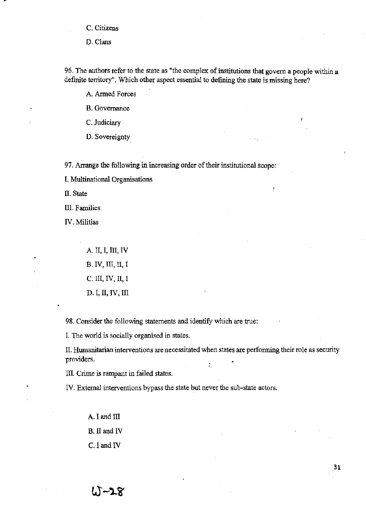C. Citizens

D. Clans

**96. The authors refer to the state as lithe complex** of institutions **that govern a people within a definite territory". Which other aspect essential to defining the state is missing here?** 

Ĵ

**A. Armed Forces** 

**B. Governance** 

C. Judiciary

D. Sovereignty

**97. Arrange the following in increasing order of their institutional scope:** 

I. Multinational Organisations

11. State

**III. Families** 

IV. Militias

A. II, I, III, IV  $B. IV, III, II, I$ C.lII, IV, II, I D. I, II, IV, III

**98. Consider the following statements and identify which are true:** 

**I. The world is socially organised in states.** 

**II. Humanitarian interventions are necessitated when states are perfonning their role as security providers.**  '.

**III Crime is rampant in failed states.** 

**IV. External interventions bypass the state but never the sub-state actors.** 

A. I and III B. II and IV C. I and IV

72-28